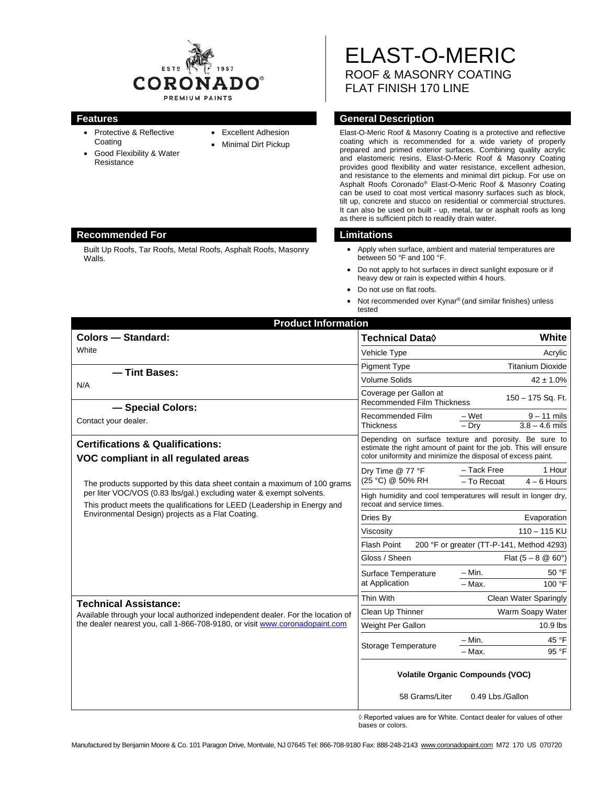

- Protective & Reflective **Coating**
- Good Flexibility & Water Resistance
- Excellent Adhesion
- Minimal Dirt Pickup

ELAST-O-MERIC ROOF & MASONRY COATING FLAT FINISH 170 LINE

## **Features General Description**

Elast-O-Meric Roof & Masonry Coating is a protective and reflective coating which is recommended for a wide variety of properly prepared and primed exterior surfaces. Combining quality acrylic and elastomeric resins, Elast-O-Meric Roof & Masonry Coating provides good flexibility and water resistance, excellent adhesion, and resistance to the elements and minimal dirt pickup. For use on Asphalt Roofs Coronado® Elast-O-Meric Roof & Masonry Coating can be used to coat most vertical masonry surfaces such as block, tilt up, concrete and stucco on residential or commercial structures. It can also be used on built - up, metal, tar or asphalt roofs as long as there is sufficient pitch to readily drain water.

- Apply when surface, ambient and material temperatures are between 50 °F and 100 °F.
- Do not apply to hot surfaces in direct sunlight exposure or if heavy dew or rain is expected within 4 hours.
- Do not use on flat roofs.
- Not recommended over Kynar® (and similar finishes) unless tested

| <b>Product Information</b>                                                                                                                                                                                                                                                        |                                                                                                                                                                                          |                                                       |
|-----------------------------------------------------------------------------------------------------------------------------------------------------------------------------------------------------------------------------------------------------------------------------------|------------------------------------------------------------------------------------------------------------------------------------------------------------------------------------------|-------------------------------------------------------|
| <b>Colors - Standard:</b>                                                                                                                                                                                                                                                         | Technical Data <sup>0</sup>                                                                                                                                                              | White                                                 |
| White                                                                                                                                                                                                                                                                             | Vehicle Type                                                                                                                                                                             | Acrylic                                               |
| - Tint Bases:<br>N/A                                                                                                                                                                                                                                                              | <b>Pigment Type</b>                                                                                                                                                                      | <b>Titanium Dioxide</b>                               |
|                                                                                                                                                                                                                                                                                   | <b>Volume Solids</b>                                                                                                                                                                     | $42 \pm 1.0\%$                                        |
|                                                                                                                                                                                                                                                                                   | Coverage per Gallon at<br><b>Recommended Film Thickness</b>                                                                                                                              | 150 - 175 Sq. Ft.                                     |
| - Special Colors:<br>Contact your dealer.                                                                                                                                                                                                                                         | Recommended Film<br><b>Thickness</b>                                                                                                                                                     | – Wet<br>$9 - 11$ mils<br>$3.8 - 4.6$ mils<br>$-$ Dry |
| <b>Certifications &amp; Qualifications:</b><br>VOC compliant in all regulated areas                                                                                                                                                                                               | Depending on surface texture and porosity. Be sure to<br>estimate the right amount of paint for the job. This will ensure<br>color uniformity and minimize the disposal of excess paint. |                                                       |
| The products supported by this data sheet contain a maximum of 100 grams<br>per liter VOC/VOS (0.83 lbs/gal.) excluding water & exempt solvents.<br>This product meets the qualifications for LEED (Leadership in Energy and<br>Environmental Design) projects as a Flat Coating. | Dry Time @ 77 °F<br>(25 °C) @ 50% RH                                                                                                                                                     | - Tack Free<br>1 Hour<br>- To Recoat<br>$4 - 6$ Hours |
|                                                                                                                                                                                                                                                                                   | High humidity and cool temperatures will result in longer dry,<br>recoat and service times.                                                                                              |                                                       |
|                                                                                                                                                                                                                                                                                   | Dries By                                                                                                                                                                                 | Evaporation                                           |
|                                                                                                                                                                                                                                                                                   | Viscosity                                                                                                                                                                                | $110 - 115$ KU                                        |
|                                                                                                                                                                                                                                                                                   | <b>Flash Point</b><br>200 °F or greater (TT-P-141, Method 4293)                                                                                                                          |                                                       |
|                                                                                                                                                                                                                                                                                   | Gloss / Sheen                                                                                                                                                                            | Flat $(5 - 8 \& 60^{\circ})$                          |
|                                                                                                                                                                                                                                                                                   | Surface Temperature<br>at Application                                                                                                                                                    | $- Min.$<br>50 °F<br>100 °F<br>$-$ Max.               |
| <b>Technical Assistance:</b><br>Available through your local authorized independent dealer. For the location of<br>the dealer nearest you, call 1-866-708-9180, or visit www.coronadopaint.com                                                                                    | Thin With                                                                                                                                                                                | Clean Water Sparingly                                 |
|                                                                                                                                                                                                                                                                                   | Clean Up Thinner                                                                                                                                                                         | Warm Soapy Water                                      |
|                                                                                                                                                                                                                                                                                   | Weight Per Gallon                                                                                                                                                                        | $10.9$ lbs                                            |
|                                                                                                                                                                                                                                                                                   | Storage Temperature                                                                                                                                                                      | 45 °F<br>$- Min.$                                     |
|                                                                                                                                                                                                                                                                                   |                                                                                                                                                                                          | $-$ Max.<br>95 °F                                     |
|                                                                                                                                                                                                                                                                                   | <b>Volatile Organic Compounds (VOC)</b>                                                                                                                                                  |                                                       |
|                                                                                                                                                                                                                                                                                   | 58 Grams/Liter                                                                                                                                                                           | 0.49 Lbs./Gallon                                      |

◊ Reported values are for White. Contact dealer for values of other bases or colors.

### **Recommended For Limitations**

Built Up Roofs, Tar Roofs, Metal Roofs, Asphalt Roofs, Masonry Walls.